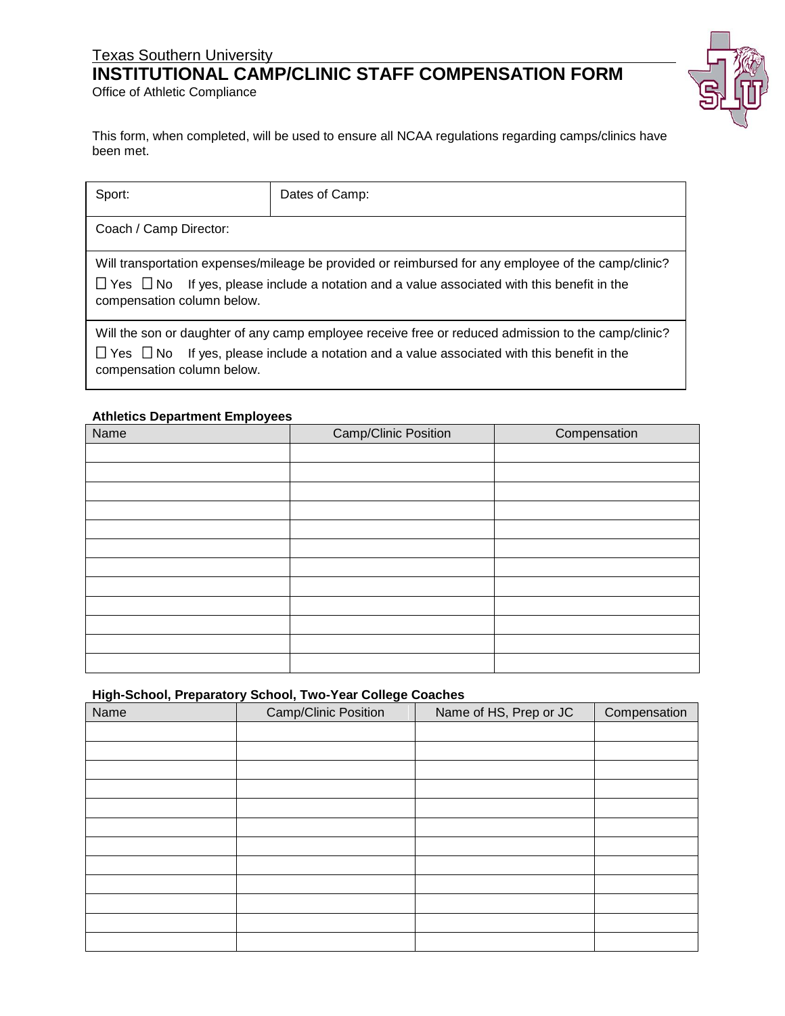## Texas Southern University

# **INSTITUTIONAL CAMP/CLINIC STAFF COMPENSATION FORM**

Office of Athletic Compliance

This form, when completed, will be used to ensure all NCAA regulations regarding camps/clinics have been met.

| Sport:                                                                                                                                                                                                                                             | Dates of Camp: |  |
|----------------------------------------------------------------------------------------------------------------------------------------------------------------------------------------------------------------------------------------------------|----------------|--|
| Coach / Camp Director:                                                                                                                                                                                                                             |                |  |
| Will transportation expenses/mileage be provided or reimbursed for any employee of the camp/clinic?<br>$\Box$ Yes $\Box$ No If yes, please include a notation and a value associated with this benefit in the<br>compensation column below.        |                |  |
| Will the son or daughter of any camp employee receive free or reduced admission to the camp/clinic?<br>$\sqcup$ Yes $\sqcup$ No<br>If yes, please include a notation and a value associated with this benefit in the<br>compensation column below. |                |  |

#### **Athletics Department Employees**

| Name | Camp/Clinic Position | Compensation |
|------|----------------------|--------------|
|      |                      |              |
|      |                      |              |
|      |                      |              |
|      |                      |              |
|      |                      |              |
|      |                      |              |
|      |                      |              |
|      |                      |              |
|      |                      |              |
|      |                      |              |
|      |                      |              |
|      |                      |              |

### **High-School, Preparatory School, Two-Year College Coaches**

| Name | Camp/Clinic Position | Name of HS, Prep or JC | Compensation |
|------|----------------------|------------------------|--------------|
|      |                      |                        |              |
|      |                      |                        |              |
|      |                      |                        |              |
|      |                      |                        |              |
|      |                      |                        |              |
|      |                      |                        |              |
|      |                      |                        |              |
|      |                      |                        |              |
|      |                      |                        |              |
|      |                      |                        |              |
|      |                      |                        |              |
|      |                      |                        |              |